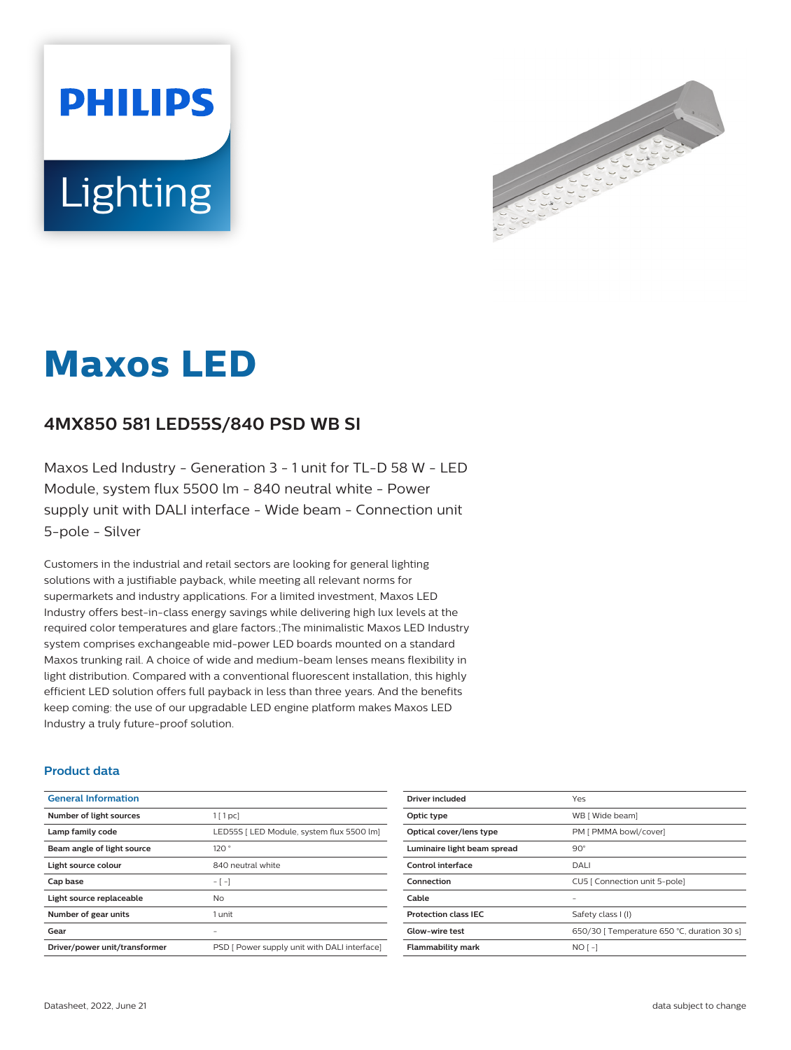



# **Maxos LED**

## **4MX850 581 LED55S/840 PSD WB SI**

Maxos Led Industry - Generation 3 - 1 unit for TL-D 58 W - LED Module, system flux 5500 lm - 840 neutral white - Power supply unit with DALI interface - Wide beam - Connection unit 5-pole - Silver

Customers in the industrial and retail sectors are looking for general lighting solutions with a justifiable payback, while meeting all relevant norms for supermarkets and industry applications. For a limited investment, Maxos LED Industry offers best-in-class energy savings while delivering high lux levels at the required color temperatures and glare factors.;The minimalistic Maxos LED Industry system comprises exchangeable mid-power LED boards mounted on a standard Maxos trunking rail. A choice of wide and medium-beam lenses means flexibility in light distribution. Compared with a conventional fluorescent installation, this highly efficient LED solution offers full payback in less than three years. And the benefits keep coming: the use of our upgradable LED engine platform makes Maxos LED Industry a truly future-proof solution.

### **Product data**

| <b>General Information</b>    |                                              |
|-------------------------------|----------------------------------------------|
| Number of light sources       | $1$ [ 1 pc]                                  |
| Lamp family code              | LED55S   LED Module, system flux 5500 lm]    |
| Beam angle of light source    | 120°                                         |
| Light source colour           | 840 neutral white                            |
| Cap base                      | $-[-]$                                       |
| Light source replaceable      | No                                           |
| Number of gear units          | 1 unit                                       |
| Gear                          |                                              |
| Driver/power unit/transformer | PSD [ Power supply unit with DALI interface] |

| Driver included             | Yes                                         |
|-----------------------------|---------------------------------------------|
| Optic type                  | WB [ Wide beam]                             |
| Optical cover/lens type     | PM [ PMMA bowl/cover]                       |
| Luminaire light beam spread | $90^{\circ}$                                |
| <b>Control interface</b>    | DALI                                        |
| Connection                  | CU5   Connection unit 5-pole]               |
| Cable                       |                                             |
| <b>Protection class IEC</b> | Safety class I (I)                          |
| <b>Glow-wire test</b>       | 650/30   Temperature 650 °C, duration 30 s] |
| <b>Flammability mark</b>    | $NO$ [ -]                                   |
|                             |                                             |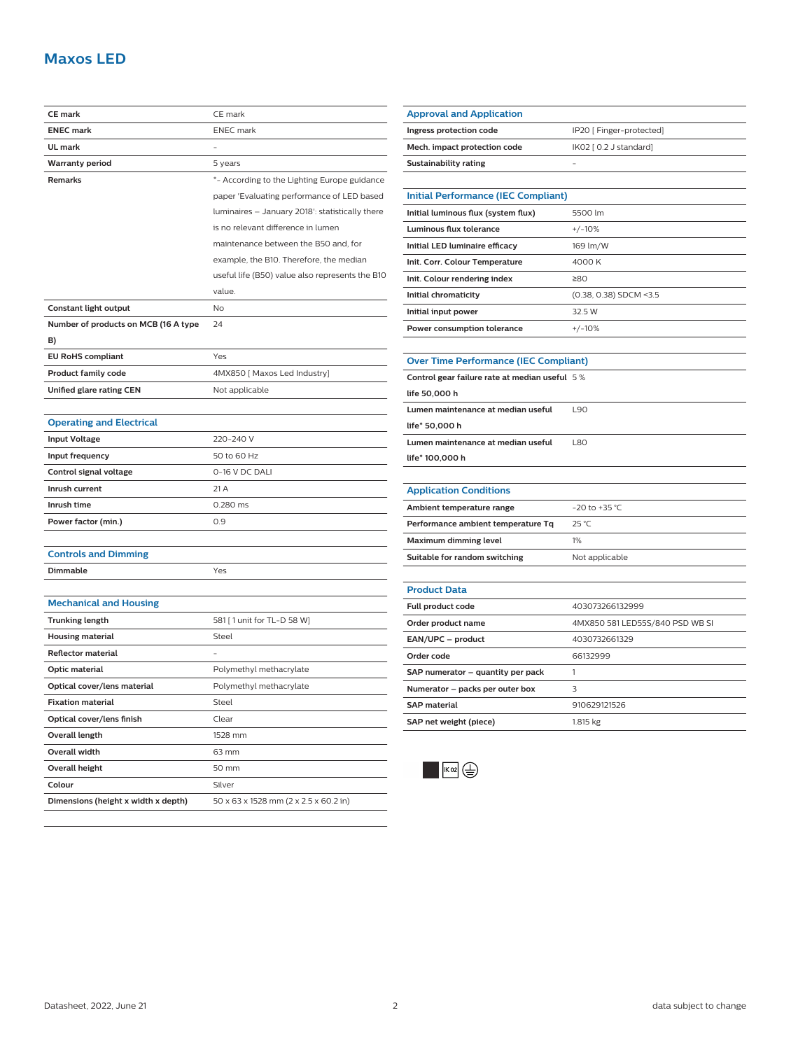## **Maxos LED**

| <b>ENEC mark</b><br><b>ENEC</b> mark<br>UL mark<br><b>Warranty period</b><br>5 years<br><b>Remarks</b><br>*- According to the Lighting Europe guidance<br>paper 'Evaluating performance of LED based<br>luminaires - January 2018': statistically there<br>is no relevant difference in lumen<br>maintenance between the B50 and, for<br>example, the B10. Therefore, the median<br>useful life (B50) value also represents the B10<br>value.<br>Constant light output<br>No<br>Number of products on MCB (16 A type<br>24<br>B)<br><b>EU RoHS compliant</b><br>Yes<br><b>Product family code</b><br>4MX850 [ Maxos Led Industry]<br>Unified glare rating CEN<br>Not applicable<br><b>Operating and Electrical</b><br>220-240 V<br><b>Input Voltage</b><br>Input frequency<br>50 to 60 Hz<br>0-16 V DC DALI<br>Control signal voltage<br>Inrush current<br>21 A<br>Inrush time<br>0.280 ms<br>Power factor (min.)<br>0.9<br><b>Controls and Dimming</b><br>Dimmable<br>Yes<br><b>Mechanical and Housing</b><br><b>Trunking length</b><br>581 [ 1 unit for TL-D 58 W]<br>Steel<br><b>Housing material</b><br>Reflector material<br>Optic material<br>Polymethyl methacrylate |                             | CE mark                 |
|-----------------------------------------------------------------------------------------------------------------------------------------------------------------------------------------------------------------------------------------------------------------------------------------------------------------------------------------------------------------------------------------------------------------------------------------------------------------------------------------------------------------------------------------------------------------------------------------------------------------------------------------------------------------------------------------------------------------------------------------------------------------------------------------------------------------------------------------------------------------------------------------------------------------------------------------------------------------------------------------------------------------------------------------------------------------------------------------------------------------------------------------------------------------------------|-----------------------------|-------------------------|
|                                                                                                                                                                                                                                                                                                                                                                                                                                                                                                                                                                                                                                                                                                                                                                                                                                                                                                                                                                                                                                                                                                                                                                             | <b>CE mark</b>              |                         |
|                                                                                                                                                                                                                                                                                                                                                                                                                                                                                                                                                                                                                                                                                                                                                                                                                                                                                                                                                                                                                                                                                                                                                                             |                             |                         |
|                                                                                                                                                                                                                                                                                                                                                                                                                                                                                                                                                                                                                                                                                                                                                                                                                                                                                                                                                                                                                                                                                                                                                                             |                             |                         |
|                                                                                                                                                                                                                                                                                                                                                                                                                                                                                                                                                                                                                                                                                                                                                                                                                                                                                                                                                                                                                                                                                                                                                                             |                             |                         |
|                                                                                                                                                                                                                                                                                                                                                                                                                                                                                                                                                                                                                                                                                                                                                                                                                                                                                                                                                                                                                                                                                                                                                                             |                             |                         |
|                                                                                                                                                                                                                                                                                                                                                                                                                                                                                                                                                                                                                                                                                                                                                                                                                                                                                                                                                                                                                                                                                                                                                                             |                             |                         |
|                                                                                                                                                                                                                                                                                                                                                                                                                                                                                                                                                                                                                                                                                                                                                                                                                                                                                                                                                                                                                                                                                                                                                                             |                             |                         |
|                                                                                                                                                                                                                                                                                                                                                                                                                                                                                                                                                                                                                                                                                                                                                                                                                                                                                                                                                                                                                                                                                                                                                                             |                             |                         |
|                                                                                                                                                                                                                                                                                                                                                                                                                                                                                                                                                                                                                                                                                                                                                                                                                                                                                                                                                                                                                                                                                                                                                                             |                             |                         |
|                                                                                                                                                                                                                                                                                                                                                                                                                                                                                                                                                                                                                                                                                                                                                                                                                                                                                                                                                                                                                                                                                                                                                                             |                             |                         |
|                                                                                                                                                                                                                                                                                                                                                                                                                                                                                                                                                                                                                                                                                                                                                                                                                                                                                                                                                                                                                                                                                                                                                                             |                             |                         |
|                                                                                                                                                                                                                                                                                                                                                                                                                                                                                                                                                                                                                                                                                                                                                                                                                                                                                                                                                                                                                                                                                                                                                                             |                             |                         |
|                                                                                                                                                                                                                                                                                                                                                                                                                                                                                                                                                                                                                                                                                                                                                                                                                                                                                                                                                                                                                                                                                                                                                                             |                             |                         |
|                                                                                                                                                                                                                                                                                                                                                                                                                                                                                                                                                                                                                                                                                                                                                                                                                                                                                                                                                                                                                                                                                                                                                                             |                             |                         |
|                                                                                                                                                                                                                                                                                                                                                                                                                                                                                                                                                                                                                                                                                                                                                                                                                                                                                                                                                                                                                                                                                                                                                                             |                             |                         |
|                                                                                                                                                                                                                                                                                                                                                                                                                                                                                                                                                                                                                                                                                                                                                                                                                                                                                                                                                                                                                                                                                                                                                                             |                             |                         |
|                                                                                                                                                                                                                                                                                                                                                                                                                                                                                                                                                                                                                                                                                                                                                                                                                                                                                                                                                                                                                                                                                                                                                                             |                             |                         |
|                                                                                                                                                                                                                                                                                                                                                                                                                                                                                                                                                                                                                                                                                                                                                                                                                                                                                                                                                                                                                                                                                                                                                                             |                             |                         |
|                                                                                                                                                                                                                                                                                                                                                                                                                                                                                                                                                                                                                                                                                                                                                                                                                                                                                                                                                                                                                                                                                                                                                                             |                             |                         |
|                                                                                                                                                                                                                                                                                                                                                                                                                                                                                                                                                                                                                                                                                                                                                                                                                                                                                                                                                                                                                                                                                                                                                                             |                             |                         |
|                                                                                                                                                                                                                                                                                                                                                                                                                                                                                                                                                                                                                                                                                                                                                                                                                                                                                                                                                                                                                                                                                                                                                                             |                             |                         |
|                                                                                                                                                                                                                                                                                                                                                                                                                                                                                                                                                                                                                                                                                                                                                                                                                                                                                                                                                                                                                                                                                                                                                                             |                             |                         |
|                                                                                                                                                                                                                                                                                                                                                                                                                                                                                                                                                                                                                                                                                                                                                                                                                                                                                                                                                                                                                                                                                                                                                                             |                             |                         |
|                                                                                                                                                                                                                                                                                                                                                                                                                                                                                                                                                                                                                                                                                                                                                                                                                                                                                                                                                                                                                                                                                                                                                                             |                             |                         |
|                                                                                                                                                                                                                                                                                                                                                                                                                                                                                                                                                                                                                                                                                                                                                                                                                                                                                                                                                                                                                                                                                                                                                                             |                             |                         |
|                                                                                                                                                                                                                                                                                                                                                                                                                                                                                                                                                                                                                                                                                                                                                                                                                                                                                                                                                                                                                                                                                                                                                                             |                             |                         |
|                                                                                                                                                                                                                                                                                                                                                                                                                                                                                                                                                                                                                                                                                                                                                                                                                                                                                                                                                                                                                                                                                                                                                                             |                             |                         |
|                                                                                                                                                                                                                                                                                                                                                                                                                                                                                                                                                                                                                                                                                                                                                                                                                                                                                                                                                                                                                                                                                                                                                                             |                             |                         |
|                                                                                                                                                                                                                                                                                                                                                                                                                                                                                                                                                                                                                                                                                                                                                                                                                                                                                                                                                                                                                                                                                                                                                                             |                             |                         |
|                                                                                                                                                                                                                                                                                                                                                                                                                                                                                                                                                                                                                                                                                                                                                                                                                                                                                                                                                                                                                                                                                                                                                                             |                             |                         |
|                                                                                                                                                                                                                                                                                                                                                                                                                                                                                                                                                                                                                                                                                                                                                                                                                                                                                                                                                                                                                                                                                                                                                                             |                             |                         |
|                                                                                                                                                                                                                                                                                                                                                                                                                                                                                                                                                                                                                                                                                                                                                                                                                                                                                                                                                                                                                                                                                                                                                                             |                             |                         |
|                                                                                                                                                                                                                                                                                                                                                                                                                                                                                                                                                                                                                                                                                                                                                                                                                                                                                                                                                                                                                                                                                                                                                                             |                             |                         |
|                                                                                                                                                                                                                                                                                                                                                                                                                                                                                                                                                                                                                                                                                                                                                                                                                                                                                                                                                                                                                                                                                                                                                                             |                             |                         |
|                                                                                                                                                                                                                                                                                                                                                                                                                                                                                                                                                                                                                                                                                                                                                                                                                                                                                                                                                                                                                                                                                                                                                                             |                             |                         |
|                                                                                                                                                                                                                                                                                                                                                                                                                                                                                                                                                                                                                                                                                                                                                                                                                                                                                                                                                                                                                                                                                                                                                                             | Optical cover/lens material | Polymethyl methacrylate |
| Steel<br><b>Fixation material</b>                                                                                                                                                                                                                                                                                                                                                                                                                                                                                                                                                                                                                                                                                                                                                                                                                                                                                                                                                                                                                                                                                                                                           |                             |                         |
| Optical cover/lens finish<br>Clear                                                                                                                                                                                                                                                                                                                                                                                                                                                                                                                                                                                                                                                                                                                                                                                                                                                                                                                                                                                                                                                                                                                                          |                             |                         |
| Overall length<br>1528 mm                                                                                                                                                                                                                                                                                                                                                                                                                                                                                                                                                                                                                                                                                                                                                                                                                                                                                                                                                                                                                                                                                                                                                   |                             |                         |
| Overall width<br>63 mm                                                                                                                                                                                                                                                                                                                                                                                                                                                                                                                                                                                                                                                                                                                                                                                                                                                                                                                                                                                                                                                                                                                                                      |                             |                         |
| Overall height<br>50 mm                                                                                                                                                                                                                                                                                                                                                                                                                                                                                                                                                                                                                                                                                                                                                                                                                                                                                                                                                                                                                                                                                                                                                     |                             |                         |
| Colour<br>Silver                                                                                                                                                                                                                                                                                                                                                                                                                                                                                                                                                                                                                                                                                                                                                                                                                                                                                                                                                                                                                                                                                                                                                            |                             |                         |
| Dimensions (height x width x depth)<br>50 x 63 x 1528 mm (2 x 2.5 x 60.2 in)                                                                                                                                                                                                                                                                                                                                                                                                                                                                                                                                                                                                                                                                                                                                                                                                                                                                                                                                                                                                                                                                                                |                             |                         |

| Ingress protection code                       | IP20 [ Finger-protected]        |  |
|-----------------------------------------------|---------------------------------|--|
| Mech. impact protection code                  | IK02 [ 0.2 J standard]          |  |
| <b>Sustainability rating</b>                  |                                 |  |
|                                               |                                 |  |
| <b>Initial Performance (IEC Compliant)</b>    |                                 |  |
| Initial luminous flux (system flux)           | 5500 lm                         |  |
| Luminous flux tolerance                       | $+/-10%$                        |  |
| Initial LED luminaire efficacy                | 169 lm/W                        |  |
| Init. Corr. Colour Temperature                | 4000 K                          |  |
| Init. Colour rendering index                  | ≥80                             |  |
| Initial chromaticity                          | (0.38, 0.38) SDCM <3.5          |  |
| Initial input power                           | 32.5 W                          |  |
| Power consumption tolerance                   | $+/-10%$                        |  |
|                                               |                                 |  |
| <b>Over Time Performance (IEC Compliant)</b>  |                                 |  |
| Control gear failure rate at median useful 5% |                                 |  |
| life 50,000 h                                 |                                 |  |
| Lumen maintenance at median useful            | L90                             |  |
| life* 50,000 h                                |                                 |  |
| Lumen maintenance at median useful            | <b>L80</b>                      |  |
| life* 100,000 h                               |                                 |  |
|                                               |                                 |  |
| <b>Application Conditions</b>                 |                                 |  |
| Ambient temperature range                     | $-20$ to $+35$ °C               |  |
| Performance ambient temperature Tq            | 25 °C                           |  |
| Maximum dimming level                         | 1%                              |  |
| Suitable for random switching                 | Not applicable                  |  |
|                                               |                                 |  |
| <b>Product Data</b>                           |                                 |  |
| Full product code                             | 403073266132999                 |  |
| Order product name                            | 4MX850 581 LED55S/840 PSD WB SI |  |
| EAN/UPC - product                             | 4030732661329                   |  |
| Order code                                    | 66132999                        |  |
| SAP numerator - quantity per pack             | 1                               |  |
| Numerator - packs per outer box               | 3                               |  |
| <b>SAP material</b>                           | 910629121526                    |  |
| SAP net weight (piece)                        | 1.815 kg                        |  |
| ıк 02  (=                                     |                                 |  |

**Approval and Application**